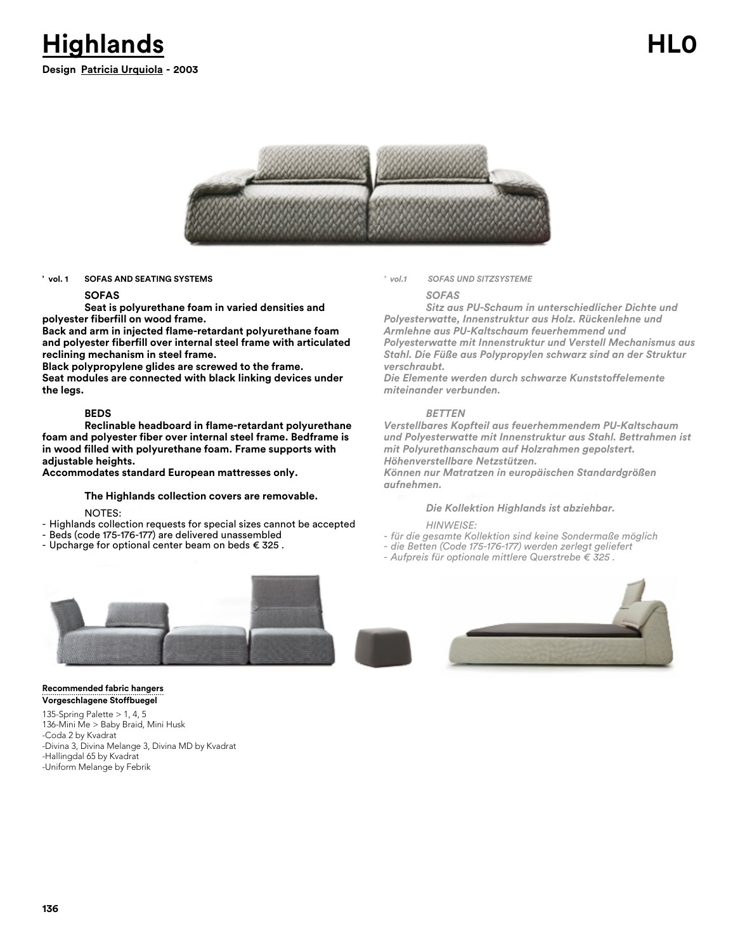**Design Patricia Urquiola - 2003**



**' vol. 1 SOFAS AND SEATING SYSTEMS**

#### **SOFAS**

**Seat is polyurethane foam in varied densities and polyester fiberfill on wood frame.** 

**Back and arm in injected flame-retardant polyurethane foam and polyester fiberfill over internal steel frame with articulated reclining mechanism in steel frame.** 

**Black polypropylene glides are screwed to the frame. Seat modules are connected with black linking devices under the legs.**

#### **BEDS**

**Reclinable headboard in flame-retardant polyurethane foam and polyester fiber over internal steel frame. Bedframe is in wood filled with polyurethane foam. Frame supports with adjustable heights.**

**Accommodates standard European mattresses only.**

#### **The Highlands collection covers are removable.**

NOTES:

- Highlands collection requests for special sizes cannot be accepted
- Beds (code 175-176-177) are delivered unassembled
- Upcharge for optional center beam on beds  $\epsilon$  325.

#### *' vol.1 SOFAS UND SITZSYSTEME*

#### *SOFAS*

*Sitz aus PU-Schaum in unterschiedlicher Dichte und Polyesterwatte, Innenstruktur aus Holz. Rückenlehne und Armlehne aus PU-Kaltschaum feuerhemmend und Polyesterwatte mit Innenstruktur und Verstell Mechanismus aus Stahl. Die Füße aus Polypropylen schwarz sind an der Struktur verschraubt.*

*Die Elemente werden durch schwarze Kunststoffelemente miteinander verbunden.*

#### *BETTEN*

*Verstellbares Kopfteil aus feuerhemmendem PU-Kaltschaum und Polyesterwatte mit Innenstruktur aus Stahl. Bettrahmen ist mit Polyurethanschaum auf Holzrahmen gepolstert. Höhenverstellbare Netzstützen.*

*Können nur Matratzen in europäischen Standardgrößen aufnehmen.*

#### *Die Kollektion Highlands ist abziehbar.*

*HINWEISE:*

- *für die gesamte Kollektion sind keine Sondermaße möglich*
- *die Betten (Code 175-176-177) werden zerlegt geliefert*
- *Aufpreis für optionale mittlere Querstrebe € 325 .*



#### **Recommended fabric hangers Vorgeschlagene Stoffbuegel**

135-Spring Palette > 1, 4, 5 136-Mini Me > Baby Braid, Mini Husk -Coda 2 by Kvadrat -Divina 3, Divina Melange 3, Divina MD by Kvadrat -Hallingdal 65 by Kvadrat -Uniform Melange by Febrik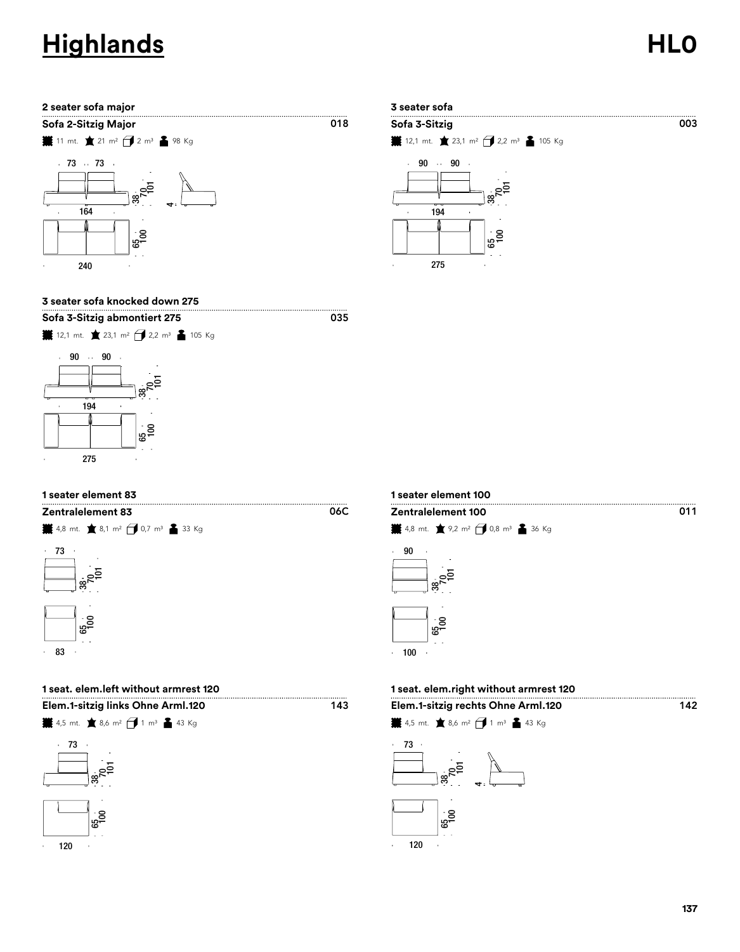

**Sofa 2-Sitzig Major Sofa 3-Sitzig**



# **12**,1 mt. ★ 23,1 m<sup>2</sup> → 2,2 m<sup>3</sup> ▲ 105 Kg



### **3 seater sofa knocked down 275 Sofa 3-Sitzig abmontiert 275**



### **1 seater element 83 1 seater element 100**



| Zentralelement 100                                                 | 011 |
|--------------------------------------------------------------------|-----|
| <b>※</b> 4,8 mt. ★ 9,2 m <sup>2</sup> → 0,8 m <sup>3</sup> ▲ 36 Kg |     |
| 90<br>٠<br>ిజ్                                                     |     |
| <sub>ဒိုဝ</sub> ိ<br>100                                           |     |

#### **1 seat. elem.left without armrest 120 1 seat. elem.right without armrest 120**



 $\frac{1}{143}$ 

 $\frac{1}{2}$  4,5 mt. ★ 8,6 m<sup>2</sup> <del>1</del> m<sup>3</sup> ▲ 43 Kg



 $\mathbf{r}$ 



###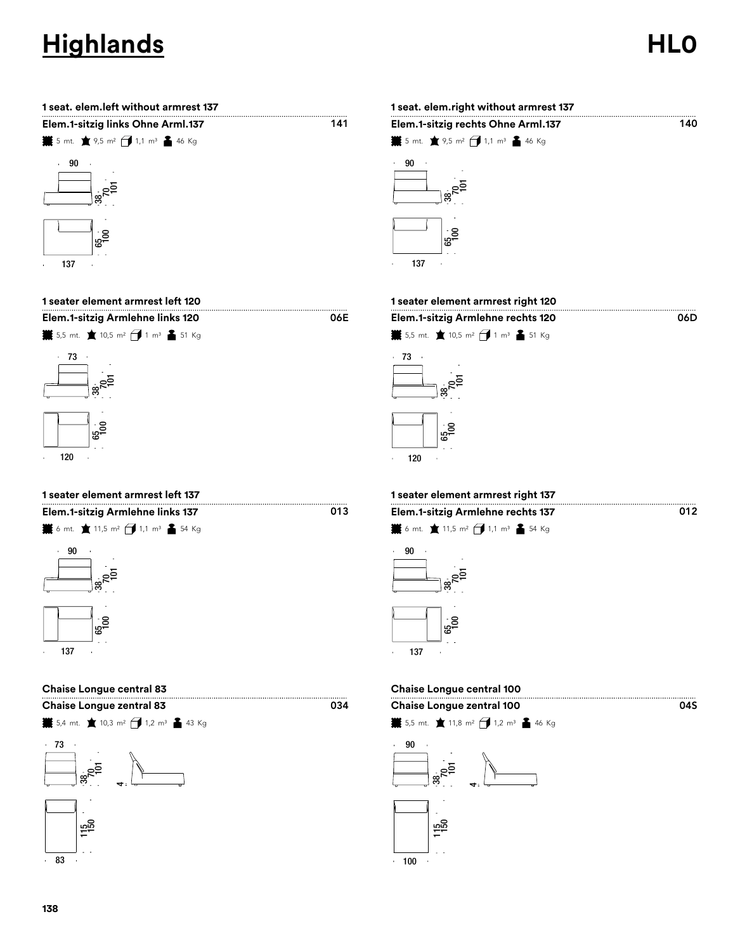04S



06E

**業** 5,5 mt. ★ 10,5 m<sup>2</sup> → 1 m<sup>3</sup> ▲ 51 Kg





| Elem.1-sitzig Armlehne links 137 |                                                            |  |  |  |
|----------------------------------|------------------------------------------------------------|--|--|--|
|                                  | ₩ 6 mt. ★ 11,5 m <sup>2</sup> → 1,1 m <sup>3</sup> ▲ 54 Kg |  |  |  |





| 1 seat. elem.right without armrest 137                                                                      |     |  |  |
|-------------------------------------------------------------------------------------------------------------|-----|--|--|
| Elem.1-sitzig rechts Ohne Arml.137                                                                          | 140 |  |  |
| $\frac{11}{24}$ 5 mt. $\frac{1}{2}$ 9,5 m <sup>2</sup> $\frac{1}{2}$ 1,1 m <sup>3</sup> $\frac{2}{3}$ 46 Kg |     |  |  |
| 90<br>ిద్                                                                                                   |     |  |  |
|                                                                                                             |     |  |  |

### 06D  $\frac{1}{2}$  5,5 mt. ★ 10,5 m<sup>2</sup> <del>1</del> m<sup>3</sup> ▲ 51 Kg 5<br>50<br>50 ظ≦ **1 seater element armrest left 120 1 seater element armrest right 120 Elem.1-sitzig Armlehne links 120 Elem.1-sitzig Armlehne rechts 120**

### $\frac{1}{2}$  6 mt. ★ 11,5 m<sup>2</sup> 1,1 m<sup>3</sup> ▲ 54 Kg ಣ-<br>ದೈ <u>a</u> **1 seater element armrest left 137 1 seater element armrest right 137 Elem.1-sitzig Armlehne links 137 Elem.1-sitzig Armlehne rechts 137**







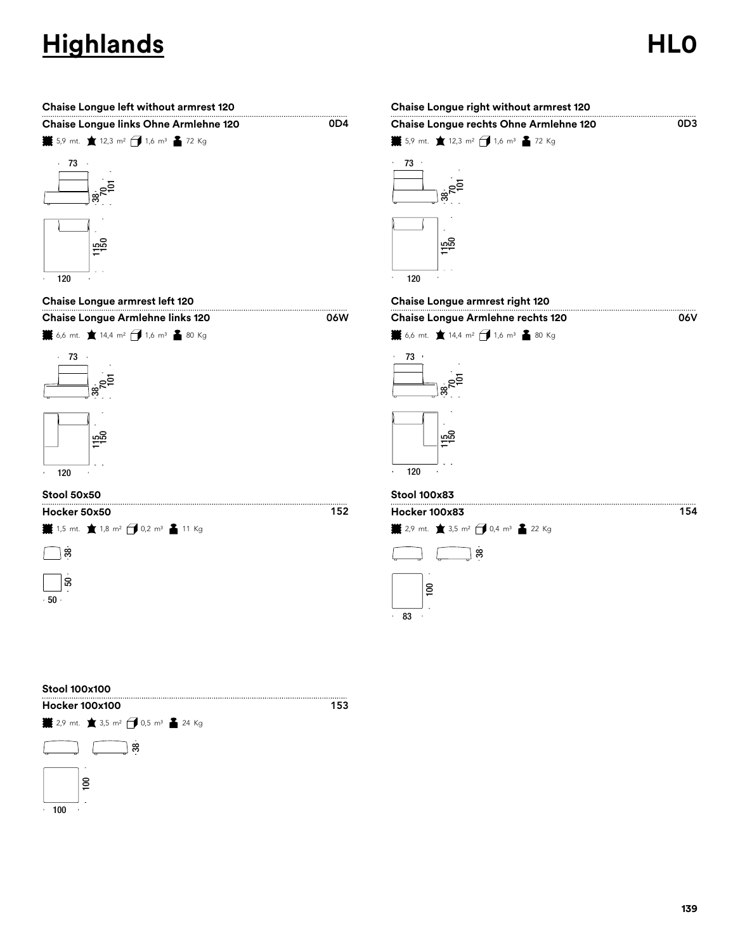

**Hocker 100x100¥** 2,9 mt. ★ 3,5 m<sup>2</sup> → 0,5 m<sup>3</sup> ▲ 24 Kg  $\overline{a}$